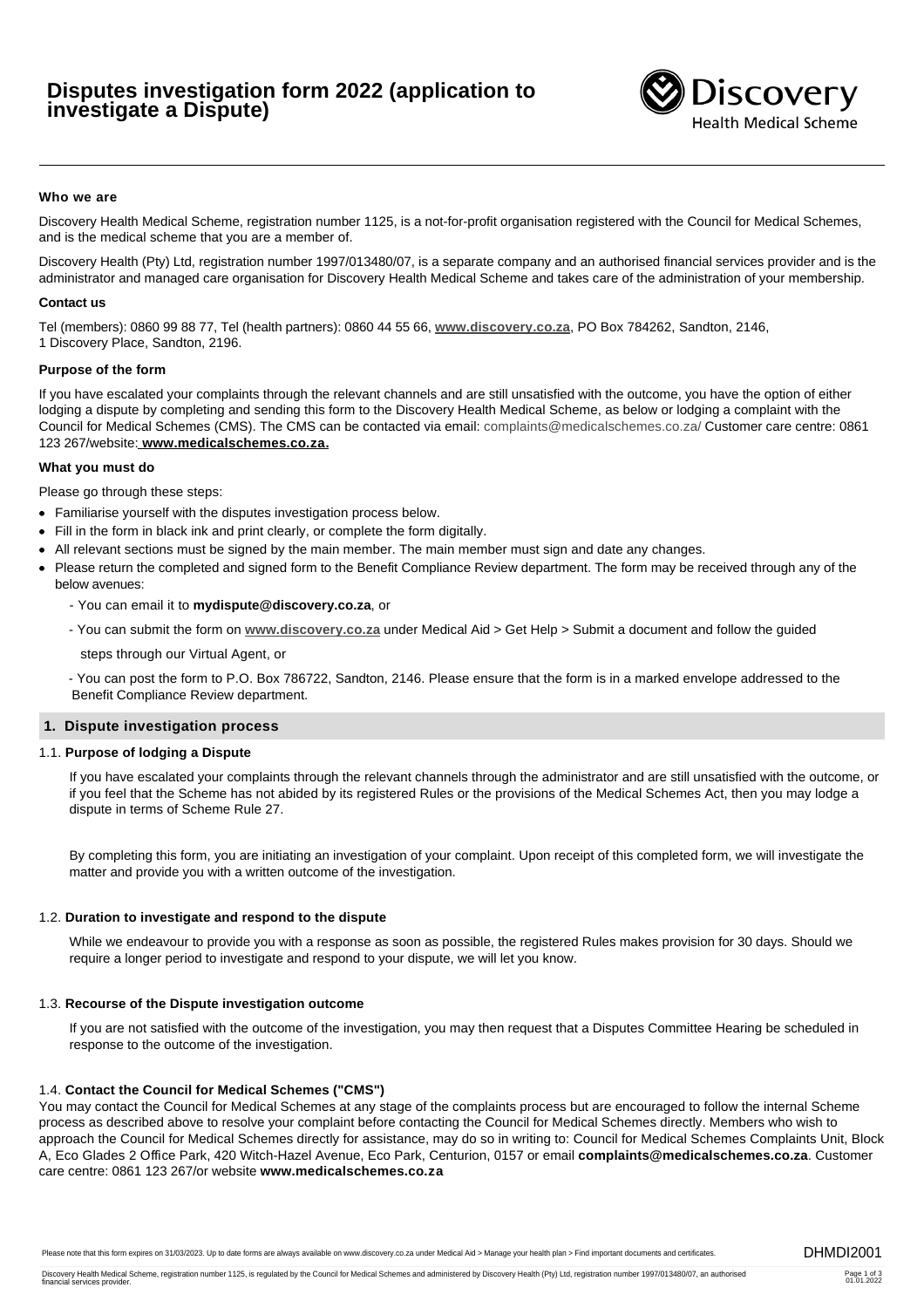# **Disputes investigation form 2022 (application to investigate a Dispute)**



# **Who we are**

Discovery Health Medical Scheme, registration number 1125, is a not-for-profit organisation registered with the Council for Medical Schemes, and is the medical scheme that you are a member of.

Discovery Health (Pty) Ltd, registration number 1997/013480/07, is a separate company and an authorised financial services provider and is the administrator and managed care organisation for Discovery Health Medical Scheme and takes care of the administration of your membership.

#### **Contact us**

Tel (members): 0860 99 88 77, Tel (health partners): 0860 44 55 66, **[www.discovery.co.za](http://www.discovery.co.za)**, PO Box 784262, Sandton, 2146, 1 Discovery Place, Sandton, 2196.

## **Purpose of the form**

If you have escalated your complaints through the relevant channels and are still unsatisfied with the outcome, you have the option of either lodging a dispute by completing and sending this form to the Discovery Health Medical Scheme, as below or lodging a complaint with the Council for Medical Schemes (CMS). The CMS can be contacted via email: [complaints@medicalschemes.co.za/](mailto:complaints@medicalschemes.com/) Customer care centre: 0861 123 267/website: **[www.medicalschemes.co](http://www.medicalschemes.com).za.**

## **What you must do**

Please go through these steps:

- Familiarise yourself with the disputes investigation process below.
- Fill in the form in black ink and print clearly, or complete the form digitally.
- All relevant sections must be signed by the main member. The main member must sign and date any changes.
- Please return the completed and signed form to the Benefit Compliance Review department. The form may be received through any of the below avenues:
	- You can email it to **[mydispute@discovery.co.za](mailto:mydispute@discovery.co.za)**, or
	- You can submit the form on **[www.discovery.co.za](http://www.discovery.co.za)** under Medical Aid > Get Help > Submit a document and follow the guided

steps through our Virtual Agent, or

 - You can post the form to P.O. Box 786722, Sandton, 2146. Please ensure that the form is in a marked envelope addressed to the Benefit Compliance Review department.

# **1. Dispute investigation process**

#### 1.1. **Purpose of lodging a Dispute**

If you have escalated your complaints through the relevant channels through the administrator and are still unsatisfied with the outcome, or if you feel that the Scheme has not abided by its registered Rules or the provisions of the Medical Schemes Act, then you may lodge a dispute in terms of Scheme Rule 27.

By completing this form, you are initiating an investigation of your complaint. Upon receipt of this completed form, we will investigate the matter and provide you with a written outcome of the investigation.

#### 1.2. **Duration to investigate and respond to the dispute**

While we endeavour to provide you with a response as soon as possible, the registered Rules makes provision for 30 days. Should we require a longer period to investigate and respond to your dispute, we will let you know.

#### 1.3. **Recourse of the Dispute investigation outcome**

If you are not satisfied with the outcome of the investigation, you may then request that a Disputes Committee Hearing be scheduled in response to the outcome of the investigation.

#### 1.4. **Contact the Council for Medical Schemes ("CMS")**

You may contact the Council for Medical Schemes at any stage of the complaints process but are encouraged to follow the internal Scheme process as described above to resolve your complaint before contacting the Council for Medical Schemes directly. Members who wish to approach the Council for Medical Schemes directly for assistance, may do so in writing to: Council for Medical Schemes Complaints Unit, Block A, Eco Glades 2 Office Park, 420 Witch-Hazel Avenue, Eco Park, Centurion, 0157 or email **complaints@medicalschemes.co.za**. Customer care centre: 0861 123 267/or website **[www.medicalschemes.co.](http://www.medicalschemes.com)za**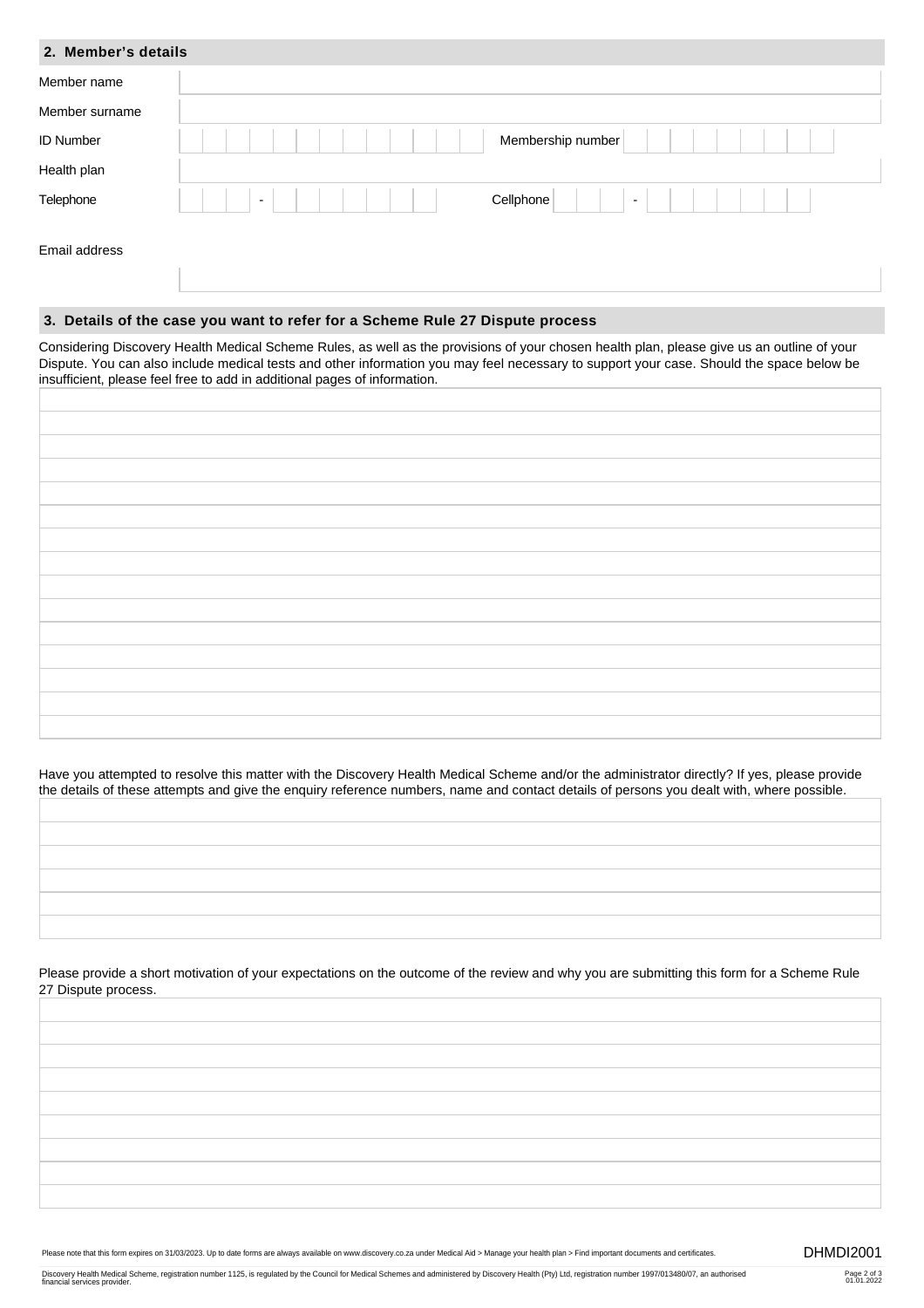| 2. Member's details |                                                                   |
|---------------------|-------------------------------------------------------------------|
| Member name         |                                                                   |
| Member surname      |                                                                   |
| <b>ID Number</b>    | Membership number                                                 |
| Health plan         |                                                                   |
| Telephone           | Cellphone<br>$\overline{\phantom{0}}$<br>$\overline{\phantom{a}}$ |
|                     |                                                                   |
| Email address       |                                                                   |

# **3. Details of the case you want to refer for a Scheme Rule 27 Dispute process**

Considering Discovery Health Medical Scheme Rules, as well as the provisions of your chosen health plan, please give us an outline of your Dispute. You can also include medical tests and other information you may feel necessary to support your case. Should the space below be insufficient, please feel free to add in additional pages of information.

Have you attempted to resolve this matter with the Discovery Health Medical Scheme and/or the administrator directly? If yes, please provide the details of these attempts and give the enquiry reference numbers, name and contact details of persons you dealt with, where possible.

Please provide a short motivation of your expectations on the outcome of the review and why you are submitting this form for a Scheme Rule 27 Dispute process.

Please note that this form expires on 31/03/2023. Up to date forms are always available on www.discovery.co.za under Medical Aid > Manage your health plan > Find important documents and certificates.